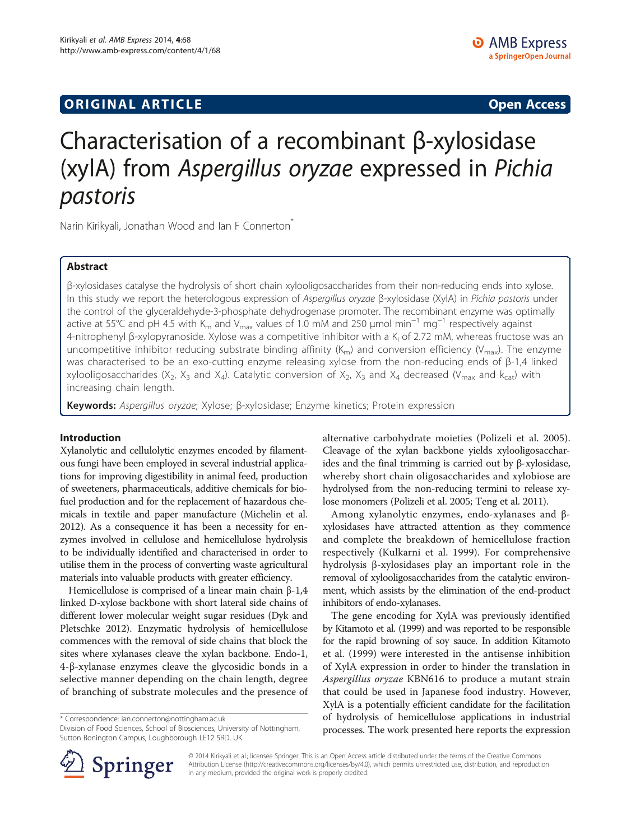## **ORIGINAL ARTICLE CONSERVANCE IN A LOCAL CONSERVANCE IN A LOCAL CONSERVANCE IN A LOCAL CONSERVANCE IN A LOCAL CONSERVANCE IN A LOCAL CONSERVANCE IN A LOCAL CONSERVANCE IN A LOCAL CONSERVANCE IN A LOCAL CONSERVANCE IN A L**

# Characterisation of a recombinant β-xylosidase (xylA) from Aspergillus oryzae expressed in Pichia

**r**<br>Narin Kirikyali, Jonathan Wood and Ian F Connerton<sup>\*</sup>

## Abstract

β-xylosidases catalyse the hydrolysis of short chain xylooligosaccharides from their non-reducing ends into xylose. In this study we report the heterologous expression of Aspergillus oryzae β-xylosidase (XylA) in Pichia pastoris under the control of the glyceraldehyde-3-phosphate dehydrogenase promoter. The recombinant enzyme was optimally active at 55°C and pH 4.5 with K<sub>m</sub> and V<sub>max</sub> values of 1.0 mM and 250 µmol min<sup>-1</sup> mg<sup>-1</sup> respectively against 4-nitrophenyl β-xylopyranoside. Xylose was a competitive inhibitor with a K<sub>i</sub> of 2.72 mM, whereas fructose was an uncompetitive inhibitor reducing substrate binding affinity  $(K_m)$  and conversion efficiency ( $V_{\text{max}}$ ). The enzyme was characterised to be an exo-cutting enzyme releasing xylose from the non-reducing ends of β-1,4 linked xylooligosaccharides (X<sub>2</sub>, X<sub>3</sub> and X<sub>4</sub>). Catalytic conversion of X<sub>2</sub>, X<sub>3</sub> and X<sub>4</sub> decreased (V<sub>max</sub> and k<sub>cat</sub>) with increasing chain length.

Keywords: Aspergillus oryzae; Xylose; β-xylosidase; Enzyme kinetics; Protein expression

### Introduction

Xylanolytic and cellulolytic enzymes encoded by filamentous fungi have been employed in several industrial applications for improving digestibility in animal feed, production of sweeteners, pharmaceuticals, additive chemicals for biofuel production and for the replacement of hazardous chemicals in textile and paper manufacture (Michelin et al. [2012\)](#page-6-0). As a consequence it has been a necessity for enzymes involved in cellulose and hemicellulose hydrolysis to be individually identified and characterised in order to utilise them in the process of converting waste agricultural materials into valuable products with greater efficiency.

Hemicellulose is comprised of a linear main chain β-1,4 linked D-xylose backbone with short lateral side chains of different lower molecular weight sugar residues (Dyk and Pletschke [2012](#page-5-0)). Enzymatic hydrolysis of hemicellulose commences with the removal of side chains that block the sites where xylanases cleave the xylan backbone. Endo-1, 4-β-xylanase enzymes cleave the glycosidic bonds in a selective manner depending on the chain length, degree of branching of substrate molecules and the presence of

\* Correspondence: [ian.connerton@nottingham.ac.uk](mailto:ian.connerton@nottingham.ac.uk)

Division of Food Sciences, School of Biosciences, University of Nottingham, Sutton Bonington Campus, Loughborough LE12 5RD, UK



Among xylanolytic enzymes, endo-xylanases and βxylosidases have attracted attention as they commence and complete the breakdown of hemicellulose fraction respectively (Kulkarni et al. [1999\)](#page-6-0). For comprehensive hydrolysis β-xylosidases play an important role in the removal of xylooligosaccharides from the catalytic environment, which assists by the elimination of the end-product inhibitors of endo-xylanases.

The gene encoding for XylA was previously identified by Kitamoto et al. [\(1999\)](#page-5-0) and was reported to be responsible for the rapid browning of soy sauce. In addition Kitamoto et al. [\(1999](#page-5-0)) were interested in the antisense inhibition of XylA expression in order to hinder the translation in Aspergillus oryzae KBN616 to produce a mutant strain that could be used in Japanese food industry. However, XylA is a potentially efficient candidate for the facilitation of hydrolysis of hemicellulose applications in industrial processes. The work presented here reports the expression



© 2014 Kirikyali et al.; licensee Springer. This is an Open Access article distributed under the terms of the Creative Commons Attribution License [\(http://creativecommons.org/licenses/by/4.0\)](http://creativecommons.org/licenses/by/4.0), which permits unrestricted use, distribution, and reproduction in any medium, provided the original work is properly credited.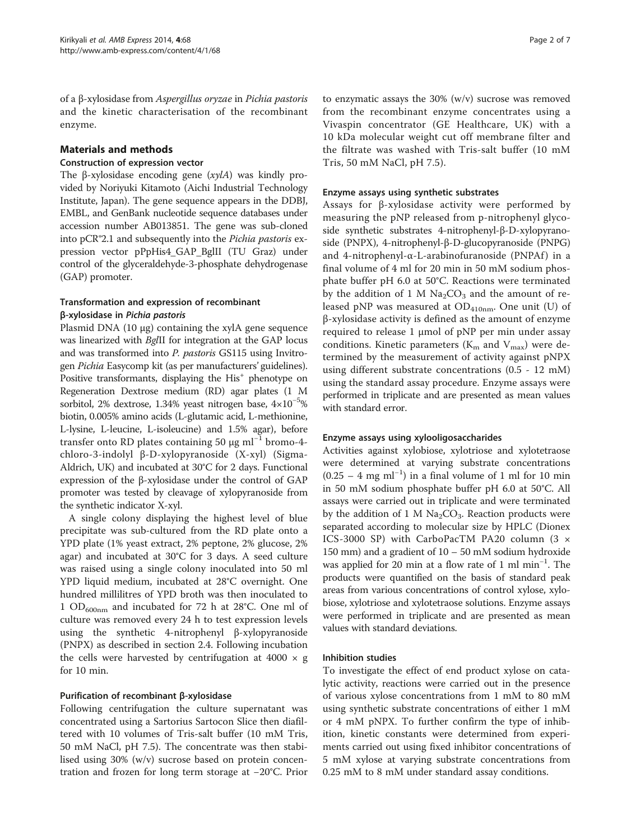of a β-xylosidase from Aspergillus oryzae in Pichia pastoris and the kinetic characterisation of the recombinant enzyme.

## Materials and methods

#### Construction of expression vector

The β-xylosidase encoding gene (xylA) was kindly provided by Noriyuki Kitamoto (Aichi Industrial Technology Institute, Japan). The gene sequence appears in the DDBJ, EMBL, and GenBank nucleotide sequence databases under accession number AB013851. The gene was sub-cloned into pCR®2.1 and subsequently into the Pichia pastoris expression vector pPpHis4\_GAP\_BglII (TU Graz) under control of the glyceraldehyde-3-phosphate dehydrogenase (GAP) promoter.

## Transformation and expression of recombinant β-xylosidase in Pichia pastoris

Plasmid DNA (10 μg) containing the xylA gene sequence was linearized with BglII for integration at the GAP locus and was transformed into P. pastoris GS115 using Invitrogen Pichia Easycomp kit (as per manufacturers' guidelines). Positive transformants, displaying the His<sup>+</sup> phenotype on Regeneration Dextrose medium (RD) agar plates (1 M sorbitol, 2% dextrose, 1.34% yeast nitrogen base, 4×10−<sup>5</sup> % biotin, 0.005% amino acids (L-glutamic acid, L-methionine, L-lysine, L-leucine, L-isoleucine) and 1.5% agar), before transfer onto RD plates containing 50  $\mu$ g ml<sup>-1</sup> bromo-4chloro-3-indolyl β-D-xylopyranoside (X-xyl) (Sigma-Aldrich, UK) and incubated at 30°C for 2 days. Functional expression of the β-xylosidase under the control of GAP promoter was tested by cleavage of xylopyranoside from the synthetic indicator X-xyl.

A single colony displaying the highest level of blue precipitate was sub-cultured from the RD plate onto a YPD plate (1% yeast extract, 2% peptone, 2% glucose, 2% agar) and incubated at 30°C for 3 days. A seed culture was raised using a single colony inoculated into 50 ml YPD liquid medium, incubated at 28°C overnight. One hundred millilitres of YPD broth was then inoculated to 1  $OD_{600nm}$  and incubated for 72 h at 28°C. One ml of culture was removed every 24 h to test expression levels using the synthetic 4-nitrophenyl β-xylopyranoside (PNPX) as described in section 2.4. Following incubation the cells were harvested by centrifugation at 4000  $\times$  g for 10 min.

### Purification of recombinant β-xylosidase

Following centrifugation the culture supernatant was concentrated using a Sartorius Sartocon Slice then diafiltered with 10 volumes of Tris-salt buffer (10 mM Tris, 50 mM NaCl, pH 7.5). The concentrate was then stabilised using 30% (w/v) sucrose based on protein concentration and frozen for long term storage at −20°C. Prior

to enzymatic assays the 30% (w/v) sucrose was removed from the recombinant enzyme concentrates using a Vivaspin concentrator (GE Healthcare, UK) with a 10 kDa molecular weight cut off membrane filter and the filtrate was washed with Tris-salt buffer (10 mM Tris, 50 mM NaCl, pH 7.5).

#### Enzyme assays using synthetic substrates

Assays for β-xylosidase activity were performed by measuring the pNP released from p-nitrophenyl glycoside synthetic substrates 4-nitrophenyl-β-D-xylopyranoside (PNPX), 4-nitrophenyl-β-D-glucopyranoside (PNPG) and 4-nitrophenyl- $\alpha$ -L-arabinofuranoside (PNPAf) in a final volume of 4 ml for 20 min in 50 mM sodium phosphate buffer pH 6.0 at 50°C. Reactions were terminated by the addition of 1 M  $Na<sub>2</sub>CO<sub>3</sub>$  and the amount of released pNP was measured at  $OD_{410nm}$ . One unit (U) of β-xylosidase activity is defined as the amount of enzyme required to release 1  $μ$ mol of pNP per min under assay conditions. Kinetic parameters ( $K_m$  and  $V_{max}$ ) were determined by the measurement of activity against pNPX using different substrate concentrations (0.5 - 12 mM) using the standard assay procedure. Enzyme assays were performed in triplicate and are presented as mean values with standard error.

### Enzyme assays using xylooligosaccharides

Activities against xylobiose, xylotriose and xylotetraose were determined at varying substrate concentrations  $(0.25 - 4$  mg ml<sup>-1</sup>) in a final volume of 1 ml for 10 min in 50 mM sodium phosphate buffer pH 6.0 at 50°C. All assays were carried out in triplicate and were terminated by the addition of 1 M  $Na<sub>2</sub>CO<sub>3</sub>$ . Reaction products were separated according to molecular size by HPLC (Dionex ICS-3000 SP) with CarboPacTM PA20 column (3 × 150 mm) and a gradient of 10 – 50 mM sodium hydroxide was applied for 20 min at a flow rate of 1 ml min<sup>-1</sup>. The products were quantified on the basis of standard peak areas from various concentrations of control xylose, xylobiose, xylotriose and xylotetraose solutions. Enzyme assays were performed in triplicate and are presented as mean values with standard deviations.

### Inhibition studies

To investigate the effect of end product xylose on catalytic activity, reactions were carried out in the presence of various xylose concentrations from 1 mM to 80 mM using synthetic substrate concentrations of either 1 mM or 4 mM pNPX. To further confirm the type of inhibition, kinetic constants were determined from experiments carried out using fixed inhibitor concentrations of 5 mM xylose at varying substrate concentrations from 0.25 mM to 8 mM under standard assay conditions.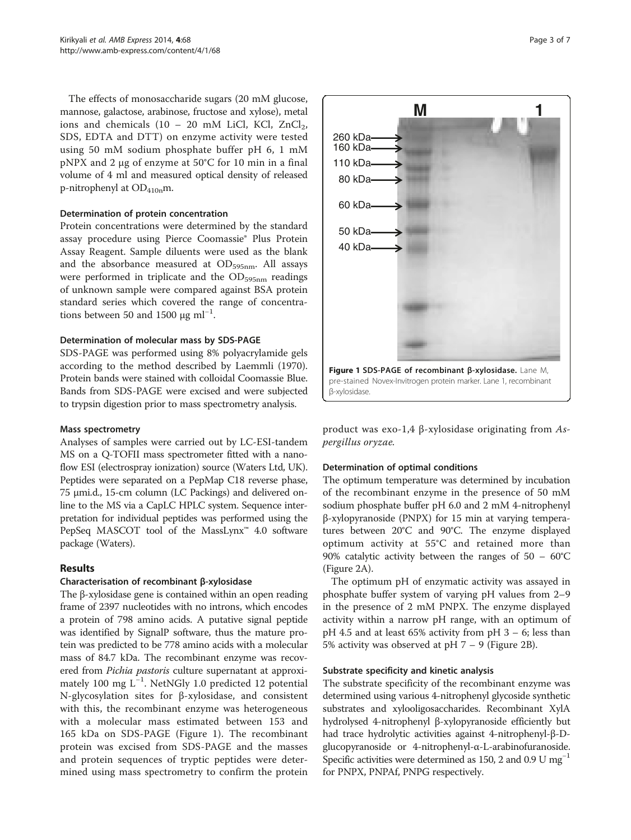The effects of monosaccharide sugars (20 mM glucose, mannose, galactose, arabinose, fructose and xylose), metal ions and chemicals  $(10 - 20 \text{ mM }$  LiCl, KCl, ZnCl<sub>2</sub>, SDS, EDTA and DTT) on enzyme activity were tested using 50 mM sodium phosphate buffer pH 6, 1 mM pNPX and 2 μg of enzyme at 50°C for 10 min in a final volume of 4 ml and measured optical density of released p-nitrophenyl at  $OD_{410n}$ m.

#### Determination of protein concentration

Protein concentrations were determined by the standard assay procedure using Pierce Coomassie® Plus Protein Assay Reagent. Sample diluents were used as the blank and the absorbance measured at  $OD_{595nm}$ . All assays were performed in triplicate and the  $OD_{595nm}$  readings of unknown sample were compared against BSA protein standard series which covered the range of concentrations between 50 and 1500  $\mu$ g ml<sup>-1</sup>.

#### Determination of molecular mass by SDS-PAGE

SDS-PAGE was performed using 8% polyacrylamide gels according to the method described by Laemmli ([1970](#page-6-0)). Protein bands were stained with colloidal Coomassie Blue. Bands from SDS-PAGE were excised and were subjected to trypsin digestion prior to mass spectrometry analysis.

#### Mass spectrometry

Analyses of samples were carried out by LC-ESI-tandem MS on a Q-TOFII mass spectrometer fitted with a nanoflow ESI (electrospray ionization) source (Waters Ltd, UK). Peptides were separated on a PepMap C18 reverse phase, 75 μmi.d., 15-cm column (LC Packings) and delivered online to the MS via a CapLC HPLC system. Sequence interpretation for individual peptides was performed using the PepSeq MASCOT tool of the MassLynx™ 4.0 software package (Waters).

### Results

### Characterisation of recombinant β-xylosidase

The β-xylosidase gene is contained within an open reading frame of 2397 nucleotides with no introns, which encodes a protein of 798 amino acids. A putative signal peptide was identified by SignalP software, thus the mature protein was predicted to be 778 amino acids with a molecular mass of 84.7 kDa. The recombinant enzyme was recovered from *Pichia pastoris* culture supernatant at approximately 100 mg L−<sup>1</sup> . NetNGly 1.0 predicted 12 potential N-glycosylation sites for β-xylosidase, and consistent with this, the recombinant enzyme was heterogeneous with a molecular mass estimated between 153 and 165 kDa on SDS-PAGE (Figure 1). The recombinant protein was excised from SDS-PAGE and the masses and protein sequences of tryptic peptides were determined using mass spectrometry to confirm the protein



product was exo-1,4 β-xylosidase originating from Aspergillus oryzae.

### Determination of optimal conditions

The optimum temperature was determined by incubation of the recombinant enzyme in the presence of 50 mM sodium phosphate buffer pH 6.0 and 2 mM 4-nitrophenyl β-xylopyranoside (PNPX) for 15 min at varying temperatures between 20°C and 90°C. The enzyme displayed optimum activity at 55°C and retained more than 90% catalytic activity between the ranges of  $50 - 60^{\circ}$ C (Figure [2](#page-3-0)A).

The optimum pH of enzymatic activity was assayed in phosphate buffer system of varying pH values from 2–9 in the presence of 2 mM PNPX. The enzyme displayed activity within a narrow pH range, with an optimum of pH 4.5 and at least 65% activity from pH 3 – 6; less than 5% activity was observed at  $pH$  7 – 9 (Figure [2B](#page-3-0)).

### Substrate specificity and kinetic analysis

The substrate specificity of the recombinant enzyme was determined using various 4-nitrophenyl glycoside synthetic substrates and xylooligosaccharides. Recombinant XylA hydrolysed 4-nitrophenyl β-xylopyranoside efficiently but had trace hydrolytic activities against 4-nitrophenyl-β-Dglucopyranoside or 4-nitrophenyl-α-L-arabinofuranoside. Specific activities were determined as 150, 2 and 0.9 U mg<sup>-1</sup> for PNPX, PNPAf, PNPG respectively.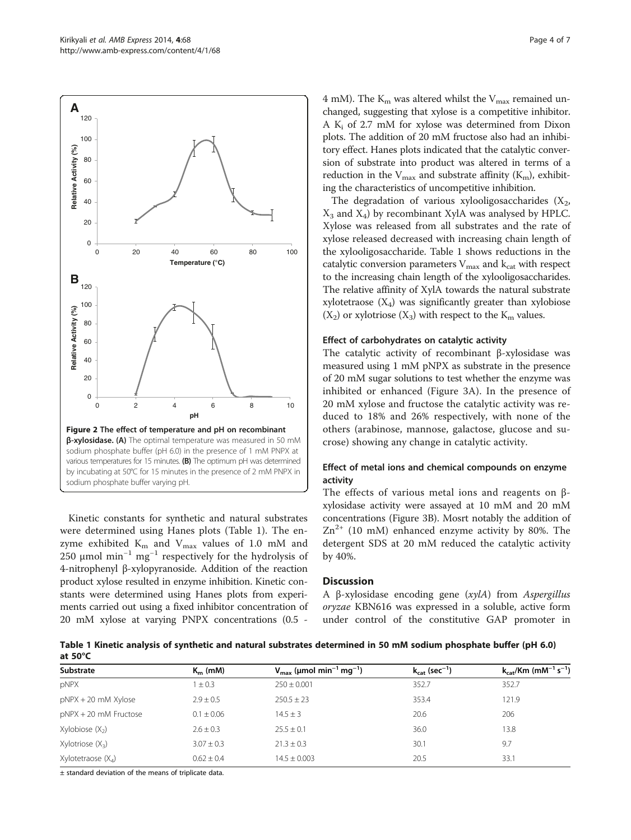

product xylose resulted in enzyme inhibition. Kinetic constants were determined using Hanes plots from experiments carried out using a fixed inhibitor concentration of 20 mM xylose at varying PNPX concentrations (0.5 -

4 mM). The  $K_m$  was altered whilst the  $V_{max}$  remained unchanged, suggesting that xylose is a competitive inhibitor. A  $K_i$  of 2.7 mM for xylose was determined from Dixon plots. The addition of 20 mM fructose also had an inhibitory effect. Hanes plots indicated that the catalytic conversion of substrate into product was altered in terms of a reduction in the  $V_{\text{max}}$  and substrate affinity ( $K_{\text{m}}$ ), exhibiting the characteristics of uncompetitive inhibition.

The degradation of various xylooligosaccharides  $(X_2,$  $X_3$  and  $X_4$ ) by recombinant XylA was analysed by HPLC. Xylose was released from all substrates and the rate of xylose released decreased with increasing chain length of the xylooligosaccharide. Table 1 shows reductions in the catalytic conversion parameters  $V_{\text{max}}$  and  $k_{\text{cat}}$  with respect to the increasing chain length of the xylooligosaccharides. The relative affinity of XylA towards the natural substrate xylotetraose  $(X_4)$  was significantly greater than xylobiose  $(X_2)$  or xylotriose  $(X_3)$  with respect to the  $K_m$  values.

#### Effect of carbohydrates on catalytic activity

The catalytic activity of recombinant β-xylosidase was measured using 1 mM pNPX as substrate in the presence of 20 mM sugar solutions to test whether the enzyme was inhibited or enhanced (Figure [3](#page-4-0)A). In the presence of 20 mM xylose and fructose the catalytic activity was reduced to 18% and 26% respectively, with none of the others (arabinose, mannose, galactose, glucose and sucrose) showing any change in catalytic activity.

### Effect of metal ions and chemical compounds on enzyme activity

The effects of various metal ions and reagents on βxylosidase activity were assayed at 10 mM and 20 mM concentrations (Figure [3B](#page-4-0)). Mosrt notably the addition of  $Zn^{2+}$  (10 mM) enhanced enzyme activity by 80%. The detergent SDS at 20 mM reduced the catalytic activity by 40%.

#### **Discussion**

A β-xylosidase encoding gene (xylA) from Aspergillus oryzae KBN616 was expressed in a soluble, active form under control of the constitutive GAP promoter in

Table 1 Kinetic analysis of synthetic and natural substrates determined in 50 mM sodium phosphate buffer (pH 6.0) at 50°C

| Substrate               | $K_m$ (mM)     | $V_{\text{max}}$ (µmol min <sup>-1</sup> mg <sup>-1</sup> ) | $k_{cat}$ (sec <sup>-1</sup> ) | $k_{cat}/Km$ (mM <sup>-1</sup> s <sup>-1</sup> ) |
|-------------------------|----------------|-------------------------------------------------------------|--------------------------------|--------------------------------------------------|
| pNPX                    | $1 \pm 0.3$    | $250 \pm 0.001$                                             | 352.7                          | 352.7                                            |
| $pNPX + 20$ mM $Xylose$ | $2.9 + 0.5$    | $250.5 \pm 23$                                              | 353.4                          | 121.9                                            |
| $pNPX + 20$ mM Fructose | $0.1 \pm 0.06$ | $14.5 \pm 3$                                                | 20.6                           | 206                                              |
| Xylobiose $(X_2)$       | $2.6 \pm 0.3$  | $25.5 \pm 0.1$                                              | 36.0                           | 13.8                                             |
| Xylotriose $(X_3)$      | $3.07 \pm 0.3$ | $21.3 \pm 0.3$                                              | 30.1                           | 9.7                                              |
| Xylotetraose $(X_4)$    | $0.62 \pm 0.4$ | $14.5 \pm 0.003$                                            | 20.5                           | 33.1                                             |

± standard deviation of the means of triplicate data.

<span id="page-3-0"></span>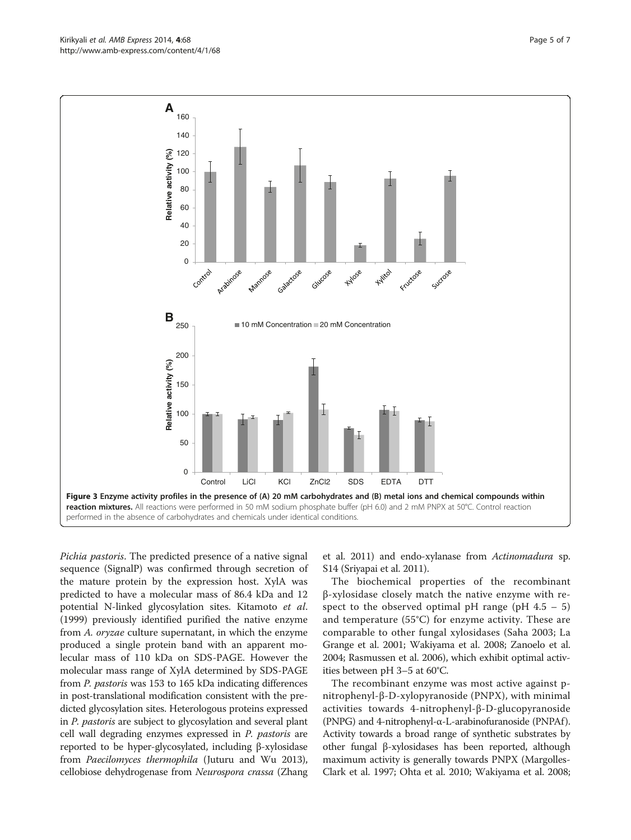Pichia pastoris. The predicted presence of a native signal sequence (SignalP) was confirmed through secretion of the mature protein by the expression host. XylA was predicted to have a molecular mass of 86.4 kDa and 12 potential N-linked glycosylation sites. Kitamoto et al. ([1999](#page-5-0)) previously identified purified the native enzyme from A. oryzae culture supernatant, in which the enzyme produced a single protein band with an apparent molecular mass of 110 kDa on SDS-PAGE. However the molecular mass range of XylA determined by SDS-PAGE from P. pastoris was 153 to 165 kDa indicating differences in post-translational modification consistent with the predicted glycosylation sites. Heterologous proteins expressed in P. pastoris are subject to glycosylation and several plant cell wall degrading enzymes expressed in P. pastoris are reported to be hyper-glycosylated, including β-xylosidase from Paecilomyces thermophila (Juturu and Wu [2013](#page-5-0)), cellobiose dehydrogenase from Neurospora crassa (Zhang

et al. [2011](#page-6-0)) and endo-xylanase from Actinomadura sp. S14 (Sriyapai et al. [2011\)](#page-6-0).

The biochemical properties of the recombinant β-xylosidase closely match the native enzyme with respect to the observed optimal pH range (pH  $4.5 - 5$ ) and temperature (55°C) for enzyme activity. These are comparable to other fungal xylosidases (Saha [2003;](#page-6-0) La Grange et al. [2001;](#page-6-0) Wakiyama et al. [2008](#page-6-0); Zanoelo et al. [2004](#page-6-0); Rasmussen et al. [2006\)](#page-6-0), which exhibit optimal activities between pH 3–5 at 60°C.

The recombinant enzyme was most active against pnitrophenyl-β-D-xylopyranoside (PNPX), with minimal activities towards 4-nitrophenyl-β-D-glucopyranoside (PNPG) and 4-nitrophenyl-α-L-arabinofuranoside (PNPAf ). Activity towards a broad range of synthetic substrates by other fungal β-xylosidases has been reported, although maximum activity is generally towards PNPX (Margolles-Clark et al. [1997;](#page-6-0) Ohta et al. [2010](#page-6-0); Wakiyama et al. [2008](#page-6-0);

<span id="page-4-0"></span>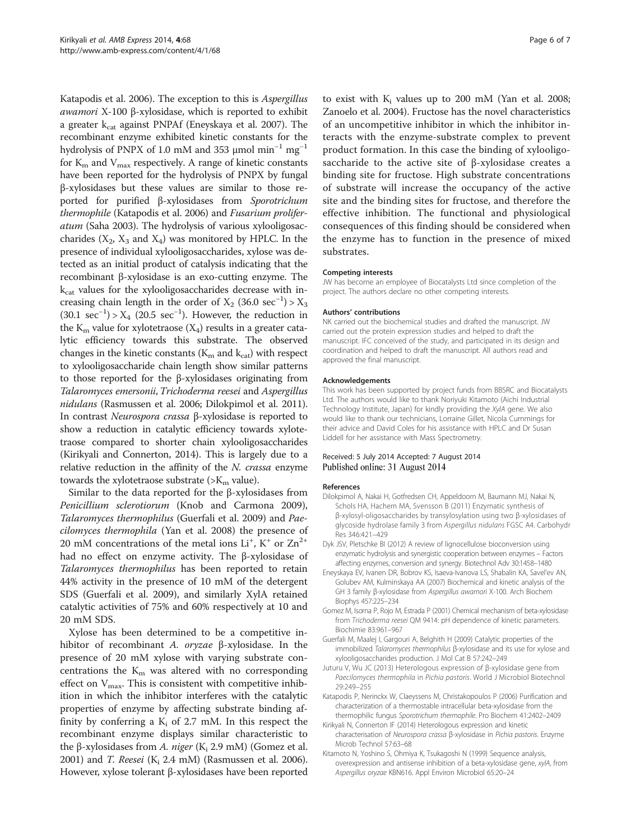<span id="page-5-0"></span>Katapodis et al. 2006). The exception to this is Aspergillus awamori X-100 β-xylosidase, which is reported to exhibit a greater  $k_{cat}$  against PNPAf (Eneyskaya et al. 2007). The recombinant enzyme exhibited kinetic constants for the hydrolysis of PNPX of 1.0 mM and 353 μmol min−<sup>1</sup> mg−<sup>1</sup> for  $K<sub>m</sub>$  and  $V<sub>max</sub>$  respectively. A range of kinetic constants have been reported for the hydrolysis of PNPX by fungal β-xylosidases but these values are similar to those reported for purified β-xylosidases from Sporotrichum thermophile (Katapodis et al. 2006) and Fusarium proliferatum (Saha [2003](#page-6-0)). The hydrolysis of various xylooligosaccharides  $(X_2, X_3 \text{ and } X_4)$  was monitored by HPLC. In the presence of individual xylooligosaccharides, xylose was detected as an initial product of catalysis indicating that the recombinant β-xylosidase is an exo-cutting enzyme. The  $k_{cat}$  values for the xylooligosaccharides decrease with increasing chain length in the order of  $X_2$  (36.0 sec<sup>-1</sup>) >  $X_3$  $(30.1 \text{ sec}^{-1}) > X_4$  (20.5 sec<sup>-1</sup>). However, the reduction in the  $K<sub>m</sub>$  value for xylotetraose  $(X<sub>4</sub>)$  results in a greater catalytic efficiency towards this substrate. The observed changes in the kinetic constants ( $K<sub>m</sub>$  and  $k<sub>cat</sub>$ ) with respect to xylooligosaccharide chain length show similar patterns to those reported for the β-xylosidases originating from Talaromyces emersonii, Trichoderma reesei and Aspergillus nidulans (Rasmussen et al. [2006;](#page-6-0) Dilokpimol et al. 2011). In contrast Neurospora crassa β-xylosidase is reported to show a reduction in catalytic efficiency towards xylotetraose compared to shorter chain xylooligosaccharides (Kirikyali and Connerton, 2014). This is largely due to a relative reduction in the affinity of the N. crassa enzyme towards the xylotetraose substrate ( $>K<sub>m</sub>$  value).

Similar to the data reported for the β-xylosidases from Penicillium sclerotiorum (Knob and Carmona [2009](#page-6-0)), Talaromyces thermophilus (Guerfali et al. 2009) and Paecilomyces thermophila (Yan et al. [2008](#page-6-0)) the presence of 20 mM concentrations of the metal ions  $Li<sup>+</sup>$ ,  $K<sup>+</sup>$  or  $Zn<sup>2+</sup>$ had no effect on enzyme activity. The β-xylosidase of Talaromyces thermophilus has been reported to retain 44% activity in the presence of 10 mM of the detergent SDS (Guerfali et al. 2009), and similarly XylA retained catalytic activities of 75% and 60% respectively at 10 and 20 mM SDS.

Xylose has been determined to be a competitive inhibitor of recombinant A. oryzae β-xylosidase. In the presence of 20 mM xylose with varying substrate concentrations the  $K<sub>m</sub>$  was altered with no corresponding effect on  $V_{\text{max}}$ . This is consistent with competitive inhibition in which the inhibitor interferes with the catalytic properties of enzyme by affecting substrate binding affinity by conferring a  $K_i$  of 2.7 mM. In this respect the recombinant enzyme displays similar characteristic to the β-xylosidases from A. *niger* (K<sub>i</sub> 2.9 mM) (Gomez et al. 2001) and *T. Reesei* ( $K_i$  2.4 mM) (Rasmussen et al. [2006](#page-6-0)). However, xylose tolerant β-xylosidases have been reported to exist with  $K_i$  values up to 200 mM (Yan et al. [2008](#page-6-0); Zanoelo et al. [2004](#page-6-0)). Fructose has the novel characteristics of an uncompetitive inhibitor in which the inhibitor interacts with the enzyme-substrate complex to prevent product formation. In this case the binding of xylooligosaccharide to the active site of β-xylosidase creates a binding site for fructose. High substrate concentrations of substrate will increase the occupancy of the active site and the binding sites for fructose, and therefore the effective inhibition. The functional and physiological consequences of this finding should be considered when the enzyme has to function in the presence of mixed substrates.

#### Competing interests

JW has become an employee of Biocatalysts Ltd since completion of the project. The authors declare no other competing interests.

#### Authors' contributions

NK carried out the biochemical studies and drafted the manuscript. JW carried out the protein expression studies and helped to draft the manuscript. IFC conceived of the study, and participated in its design and coordination and helped to draft the manuscript. All authors read and approved the final manuscript.

#### Acknowledgements

This work has been supported by project funds from BBSRC and Biocatalysts Ltd. The authors would like to thank Noriyuki Kitamoto (Aichi Industrial Technology Institute, Japan) for kindly providing the XylA gene. We also would like to thank our technicians, Lorraine Gillet, Nicola Cummings for their advice and David Coles for his assistance with HPLC and Dr Susan Liddell for her assistance with Mass Spectrometry.

#### Received: 5 July 2014 Accepted: 7 August 2014 Published online: 31 August 2014

#### References

- Dilokpimol A, Nakai H, Gotfredsen CH, Appeldoorn M, Baumann MJ, Nakai N, Schols HA, Hachem MA, Svensson B (2011) Enzymatic synthesis of β-xylosyl-oligosaccharides by transylosylation using two β-xylosidases of glycoside hydrolase family 3 from Aspergillus nidulans FGSC A4. Carbohydr Res 346:421–429
- Dyk JSV, Pletschke BI (2012) A review of lignocellulose bioconversion using enzymatic hydrolysis and synergistic cooperation between enzymes – Factors affecting enzymes, conversion and synergy. Biotechnol Adv 30:1458–1480
- Eneyskaya EV, Ivanen DR, Bobrov KS, Isaeva-Ivanova LS, Shabalin KA, Savel'ev AN, Golubev AM, Kulminskaya AA (2007) Biochemical and kinetic analysis of the GH 3 family β-xylosidase from Aspergillus awamori X-100. Arch Biochem Biophys 457:225–234
- Gomez M, Isorna P, Rojo M, Estrada P (2001) Chemical mechanism of beta-xylosidase from Trichoderma reesei QM 9414: pH dependence of kinetic parameters. Biochimie 83:961–967
- Guerfali M, Maalej I, Gargouri A, Belghith H (2009) Catalytic properties of the immobilized Talaromyces thermophilus β-xylosidase and its use for xylose and xylooligosaccharides production. J Mol Cat B 57:242–249
- Juturu V, Wu JC (2013) Heterologous expression of β-xylosidase gene from Paecilomyces thermophila in Pichia pastoris. World J Microbiol Biotechnol 29:249–255
- Katapodis P, Nerinckx W, Claeyssens M, Christakopoulos P (2006) Purification and characterization of a thermostable intracellular beta-xylosidase from the thermophilic fungus Sporotrichum thermophile. Pro Biochem 41:2402–2409
- Kirikyali N, Connerton IF (2014) Heterologous expression and kinetic characterisation of Neurospora crassa β-xylosidase in Pichia pastoris. Enzyme Microb Technol 57:63–68
- Kitamoto N, Yoshino S, Ohmiya K, Tsukagoshi N (1999) Sequence analysis, overexpression and antisense inhibition of a beta-xylosidase gene, xylA, from Aspergillus oryzae KBN616. Appl Environ Microbiol 65:20–24